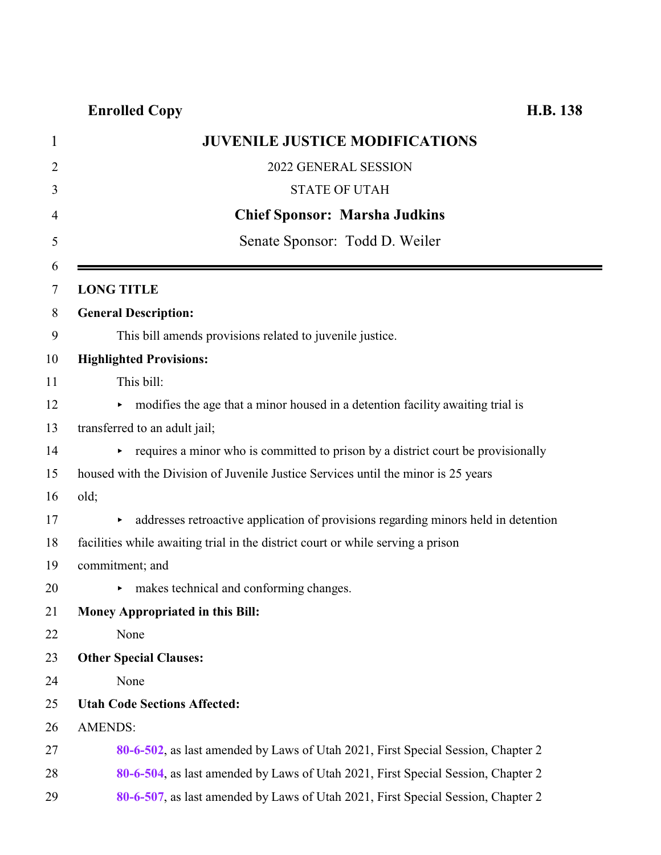|                | <b>JUVENILE JUSTICE MODIFICATIONS</b>                                                    |
|----------------|------------------------------------------------------------------------------------------|
|                | 2022 GENERAL SESSION                                                                     |
|                | <b>STATE OF UTAH</b>                                                                     |
|                | <b>Chief Sponsor: Marsha Judkins</b>                                                     |
|                | Senate Sponsor: Todd D. Weiler                                                           |
|                |                                                                                          |
|                | <b>LONG TITLE</b>                                                                        |
|                | <b>General Description:</b>                                                              |
|                | This bill amends provisions related to juvenile justice.                                 |
|                | <b>Highlighted Provisions:</b>                                                           |
|                | This bill:                                                                               |
|                | modifies the age that a minor housed in a detention facility awaiting trial is<br>►      |
|                | transferred to an adult jail;                                                            |
|                | requires a minor who is committed to prison by a district court be provisionally         |
|                | housed with the Division of Juvenile Justice Services until the minor is 25 years        |
| old;           |                                                                                          |
|                | addresses retroactive application of provisions regarding minors held in detention<br>▶. |
|                | facilities while awaiting trial in the district court or while serving a prison          |
|                | commitment; and                                                                          |
|                | makes technical and conforming changes.                                                  |
|                | <b>Money Appropriated in this Bill:</b>                                                  |
|                | None                                                                                     |
|                | <b>Other Special Clauses:</b>                                                            |
|                | None                                                                                     |
|                | <b>Utah Code Sections Affected:</b>                                                      |
| <b>AMENDS:</b> |                                                                                          |
|                | 80-6-502, as last amended by Laws of Utah 2021, First Special Session, Chapter 2         |
|                | 80-6-504, as last amended by Laws of Utah 2021, First Special Session, Chapter 2         |
|                | 80-6-507, as last amended by Laws of Utah 2021, First Special Session, Chapter 2         |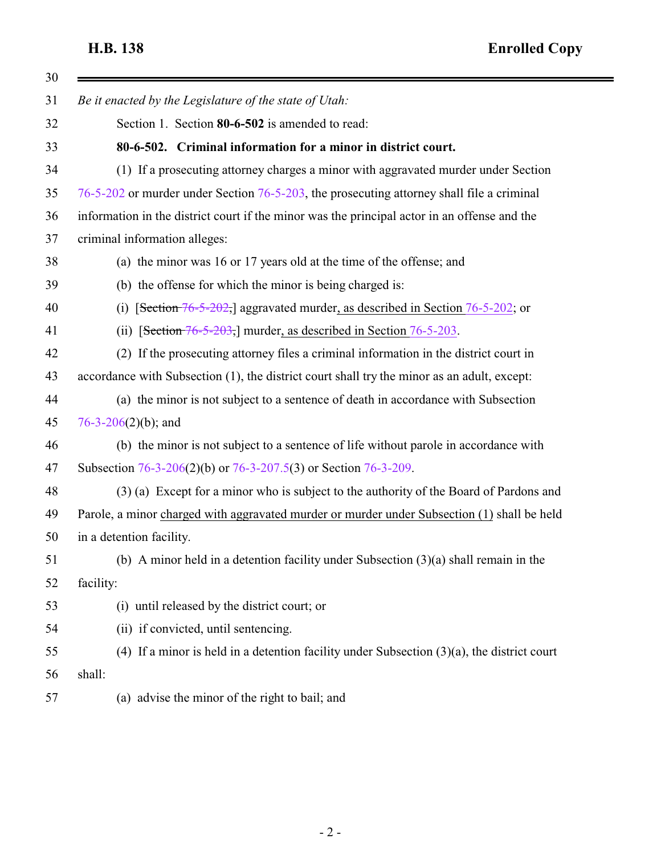<span id="page-1-0"></span>

| Be it enacted by the Legislature of the state of Utah:                                        |
|-----------------------------------------------------------------------------------------------|
| Section 1. Section 80-6-502 is amended to read:                                               |
| 80-6-502. Criminal information for a minor in district court.                                 |
| (1) If a prosecuting attorney charges a minor with aggravated murder under Section            |
| 76-5-202 or murder under Section 76-5-203, the prosecuting attorney shall file a criminal     |
| information in the district court if the minor was the principal actor in an offense and the  |
| criminal information alleges:                                                                 |
| (a) the minor was 16 or 17 years old at the time of the offense; and                          |
| (b) the offense for which the minor is being charged is:                                      |
| [Section 76-5-202,] aggravated murder, as described in Section 76-5-202; or<br>(i)            |
| (ii) [Section $76-5-203$ ,] murder, as described in Section $76-5-203$ .                      |
| (2) If the prosecuting attorney files a criminal information in the district court in         |
| accordance with Subsection (1), the district court shall try the minor as an adult, except:   |
| (a) the minor is not subject to a sentence of death in accordance with Subsection             |
| 76-3-206(2)(b); and                                                                           |
| (b) the minor is not subject to a sentence of life without parole in accordance with          |
| Subsection 76-3-206(2)(b) or 76-3-207.5(3) or Section 76-3-209.                               |
| (3) (a) Except for a minor who is subject to the authority of the Board of Pardons and        |
| Parole, a minor charged with aggravated murder or murder under Subsection (1) shall be held   |
| in a detention facility.                                                                      |
| (b) A minor held in a detention facility under Subsection $(3)(a)$ shall remain in the        |
| facility:                                                                                     |
| (i) until released by the district court; or                                                  |
| (ii) if convicted, until sentencing.                                                          |
| (4) If a minor is held in a detention facility under Subsection $(3)(a)$ , the district court |
| shall:                                                                                        |
| (a) advise the minor of the right to bail; and                                                |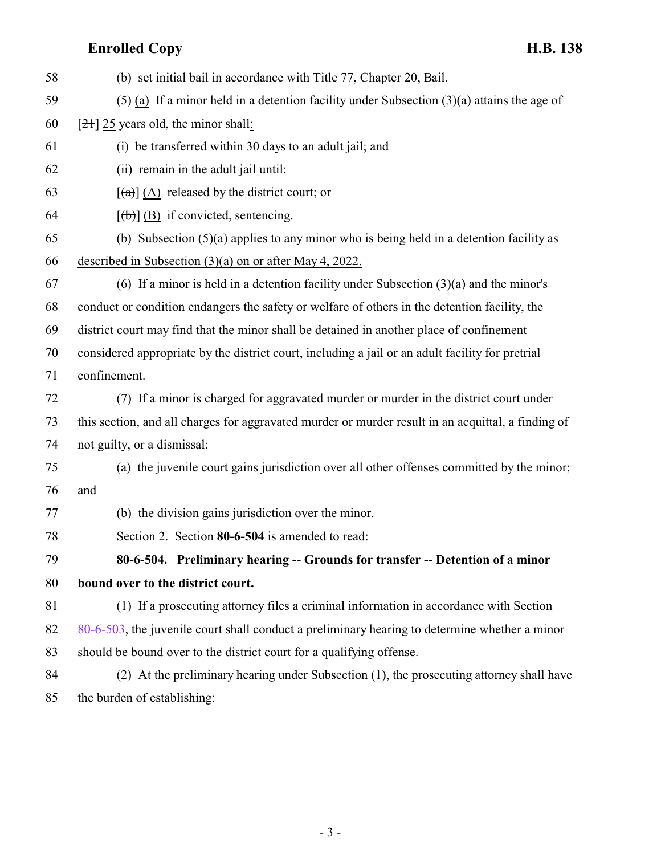<span id="page-2-0"></span>

| 58 | (b) set initial bail in accordance with Title 77, Chapter 20, Bail.                                |
|----|----------------------------------------------------------------------------------------------------|
| 59 | $(5)$ (a) If a minor held in a detention facility under Subsection $(3)(a)$ attains the age of     |
| 60 | $[21]$ 25 years old, the minor shall:                                                              |
| 61 | (i) be transferred within 30 days to an adult jail; and                                            |
| 62 | (ii) remain in the adult jail until:                                                               |
| 63 | $\left[\frac{a}{a}\right]$ (A) released by the district court; or                                  |
| 64 | $[\phi]$ (B) if convicted, sentencing.                                                             |
| 65 | (b) Subsection $(5)(a)$ applies to any minor who is being held in a detention facility as          |
| 66 | described in Subsection $(3)(a)$ on or after May 4, 2022.                                          |
| 67 | (6) If a minor is held in a detention facility under Subsection $(3)(a)$ and the minor's           |
| 68 | conduct or condition endangers the safety or welfare of others in the detention facility, the      |
| 69 | district court may find that the minor shall be detained in another place of confinement           |
| 70 | considered appropriate by the district court, including a jail or an adult facility for pretrial   |
| 71 | confinement.                                                                                       |
| 72 | (7) If a minor is charged for aggravated murder or murder in the district court under              |
| 73 | this section, and all charges for aggravated murder or murder result in an acquittal, a finding of |
| 74 | not guilty, or a dismissal:                                                                        |
| 75 | (a) the juvenile court gains jurisdiction over all other offenses committed by the minor;          |
| 76 | and                                                                                                |
| 77 | (b) the division gains jurisdiction over the minor.                                                |
| 78 | Section 2. Section 80-6-504 is amended to read:                                                    |
| 79 | 80-6-504. Preliminary hearing -- Grounds for transfer -- Detention of a minor                      |
| 80 | bound over to the district court.                                                                  |
| 81 | (1) If a prosecuting attorney files a criminal information in accordance with Section              |
| 82 | 80-6-503, the juvenile court shall conduct a preliminary hearing to determine whether a minor      |
| 83 | should be bound over to the district court for a qualifying offense.                               |
| 84 | (2) At the preliminary hearing under Subsection (1), the prosecuting attorney shall have           |
| 85 | the burden of establishing:                                                                        |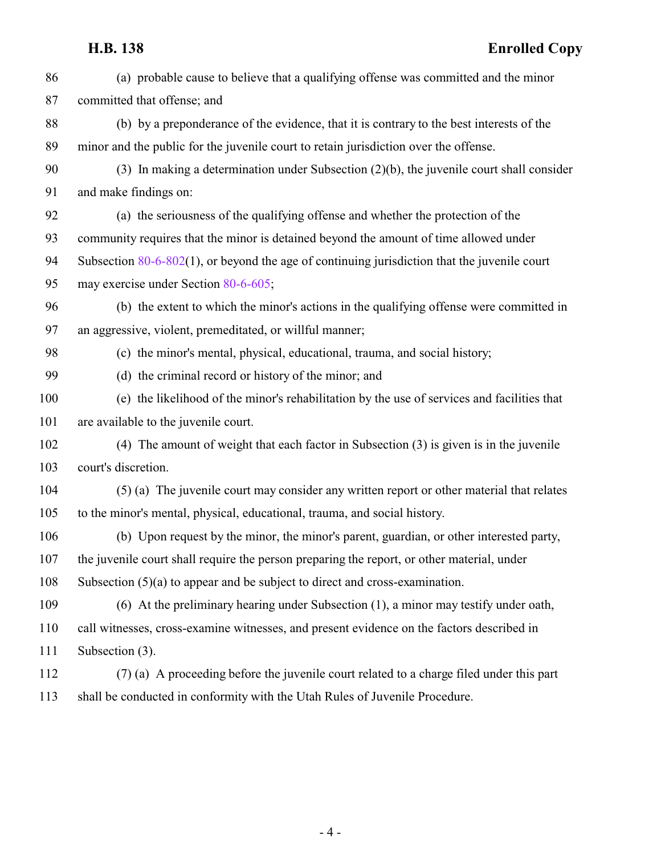| 86  | (a) probable cause to believe that a qualifying offense was committed and the minor             |
|-----|-------------------------------------------------------------------------------------------------|
| 87  | committed that offense; and                                                                     |
| 88  | (b) by a preponderance of the evidence, that it is contrary to the best interests of the        |
| 89  | minor and the public for the juvenile court to retain jurisdiction over the offense.            |
| 90  | $(3)$ In making a determination under Subsection $(2)(b)$ , the juvenile court shall consider   |
| 91  | and make findings on:                                                                           |
| 92  | (a) the seriousness of the qualifying offense and whether the protection of the                 |
| 93  | community requires that the minor is detained beyond the amount of time allowed under           |
| 94  | Subsection $80-6-802(1)$ , or beyond the age of continuing jurisdiction that the juvenile court |
| 95  | may exercise under Section 80-6-605;                                                            |
| 96  | (b) the extent to which the minor's actions in the qualifying offense were committed in         |
| 97  | an aggressive, violent, premeditated, or willful manner;                                        |
| 98  | (c) the minor's mental, physical, educational, trauma, and social history;                      |
| 99  | (d) the criminal record or history of the minor; and                                            |
| 100 | (e) the likelihood of the minor's rehabilitation by the use of services and facilities that     |
| 101 | are available to the juvenile court.                                                            |
| 102 | (4) The amount of weight that each factor in Subsection (3) is given is in the juvenile         |
| 103 | court's discretion.                                                                             |
| 104 | (5) (a) The juvenile court may consider any written report or other material that relates       |
| 105 | to the minor's mental, physical, educational, trauma, and social history.                       |
| 106 | (b) Upon request by the minor, the minor's parent, guardian, or other interested party,         |
| 107 | the juvenile court shall require the person preparing the report, or other material, under      |
| 108 | Subsection $(5)(a)$ to appear and be subject to direct and cross-examination.                   |
| 109 | (6) At the preliminary hearing under Subsection (1), a minor may testify under oath,            |
| 110 | call witnesses, cross-examine witnesses, and present evidence on the factors described in       |
| 111 | Subsection (3).                                                                                 |
| 112 | (7) (a) A proceeding before the juvenile court related to a charge filed under this part        |
| 113 | shall be conducted in conformity with the Utah Rules of Juvenile Procedure.                     |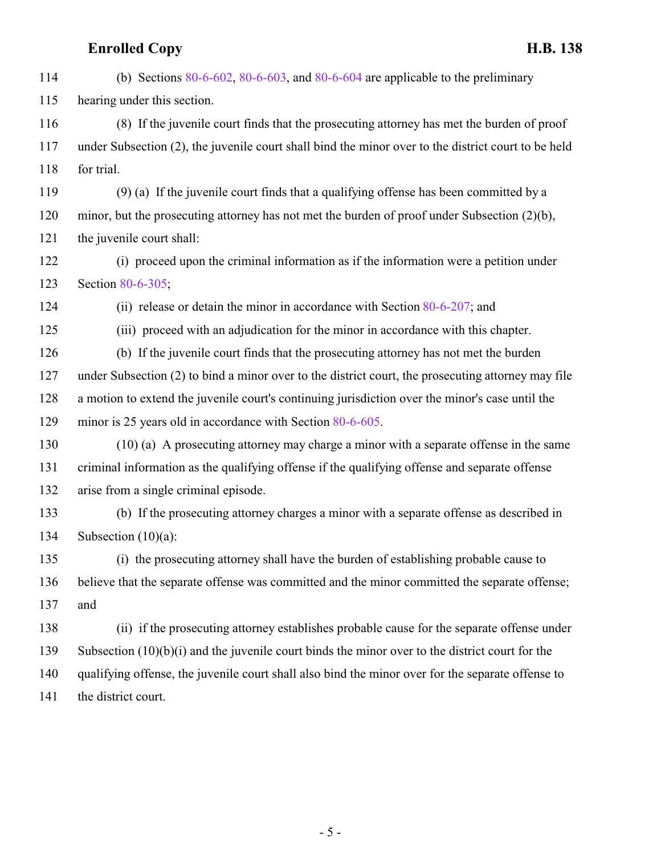(b) Sections [80-6-602](http://le.utah.gov/UtahCode/SectionLookup.jsp?section=80-6-602&session=2022GS), [80-6-603](http://le.utah.gov/UtahCode/SectionLookup.jsp?section=80-6-603&session=2022GS), and [80-6-604](http://le.utah.gov/UtahCode/SectionLookup.jsp?section=80-6-604&session=2022GS) are applicable to the preliminary hearing under this section. (8) If the juvenile court finds that the prosecuting attorney has met the burden of proof under Subsection (2), the juvenile court shall bind the minor over to the district court to be held for trial. (9) (a) If the juvenile court finds that a qualifying offense has been committed by a minor, but the prosecuting attorney has not met the burden of proof under Subsection (2)(b), the juvenile court shall: (i) proceed upon the criminal information as if the information were a petition under Section [80-6-305](http://le.utah.gov/UtahCode/SectionLookup.jsp?section=80-6-305&session=2022GS); (ii) release or detain the minor in accordance with Section [80-6-207](http://le.utah.gov/UtahCode/SectionLookup.jsp?section=80-6-207&session=2022GS); and (iii) proceed with an adjudication for the minor in accordance with this chapter. (b) If the juvenile court finds that the prosecuting attorney has not met the burden under Subsection (2) to bind a minor over to the district court, the prosecuting attorney may file a motion to extend the juvenile court's continuing jurisdiction over the minor's case until the minor is 25 years old in accordance with Section [80-6-605](http://le.utah.gov/UtahCode/SectionLookup.jsp?section=80-6-605&session=2022GS). (10) (a) A prosecuting attorney may charge a minor with a separate offense in the same criminal information as the qualifying offense if the qualifying offense and separate offense arise from a single criminal episode. (b) If the prosecuting attorney charges a minor with a separate offense as described in Subsection (10)(a): (i) the prosecuting attorney shall have the burden of establishing probable cause to believe that the separate offense was committed and the minor committed the separate offense; and (ii) if the prosecuting attorney establishes probable cause for the separate offense under Subsection (10)(b)(i) and the juvenile court binds the minor over to the district court for the qualifying offense, the juvenile court shall also bind the minor over for the separate offense to 141 the district court.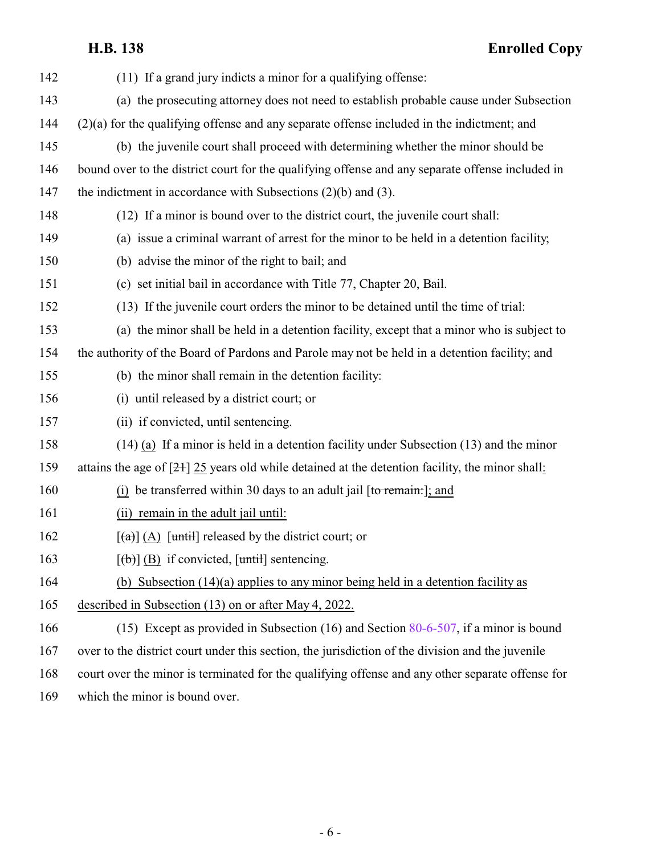**H.B. 138 Enrolled Copy**

| 142 | (11) If a grand jury indicts a minor for a qualifying offense:                                    |
|-----|---------------------------------------------------------------------------------------------------|
| 143 | (a) the prosecuting attorney does not need to establish probable cause under Subsection           |
| 144 | $(2)(a)$ for the qualifying offense and any separate offense included in the indictment; and      |
| 145 | (b) the juvenile court shall proceed with determining whether the minor should be                 |
| 146 | bound over to the district court for the qualifying offense and any separate offense included in  |
| 147 | the indictment in accordance with Subsections $(2)(b)$ and $(3)$ .                                |
| 148 | (12) If a minor is bound over to the district court, the juvenile court shall:                    |
| 149 | (a) issue a criminal warrant of arrest for the minor to be held in a detention facility;          |
| 150 | (b) advise the minor of the right to bail; and                                                    |
| 151 | (c) set initial bail in accordance with Title 77, Chapter 20, Bail.                               |
| 152 | (13) If the juvenile court orders the minor to be detained until the time of trial:               |
| 153 | (a) the minor shall be held in a detention facility, except that a minor who is subject to        |
| 154 | the authority of the Board of Pardons and Parole may not be held in a detention facility; and     |
| 155 | (b) the minor shall remain in the detention facility:                                             |
| 156 | (i) until released by a district court; or                                                        |
| 157 | (ii) if convicted, until sentencing.                                                              |
| 158 | $(14)$ (a) If a minor is held in a detention facility under Subsection $(13)$ and the minor       |
| 159 | attains the age of $[2+]$ 25 years old while detained at the detention facility, the minor shall: |
| 160 | $(i)$ be transferred within 30 days to an adult jail [to remain:]; and                            |
| 161 | (ii) remain in the adult jail until:                                                              |
| 162 | $\left[\frac{a}{a}\right]$ (A) $\left[\frac{until}{b}\right]$ released by the district court; or  |
| 163 | $[\text{ }(\text{ }b)]$ (B) if convicted, $[\text{until}]$ sentencing.                            |
| 164 | (b) Subsection $(14)(a)$ applies to any minor being held in a detention facility as               |
| 165 | described in Subsection (13) on or after May 4, 2022.                                             |
| 166 | (15) Except as provided in Subsection (16) and Section $80-6-507$ , if a minor is bound           |
| 167 | over to the district court under this section, the jurisdiction of the division and the juvenile  |
| 168 | court over the minor is terminated for the qualifying offense and any other separate offense for  |
| 169 | which the minor is bound over.                                                                    |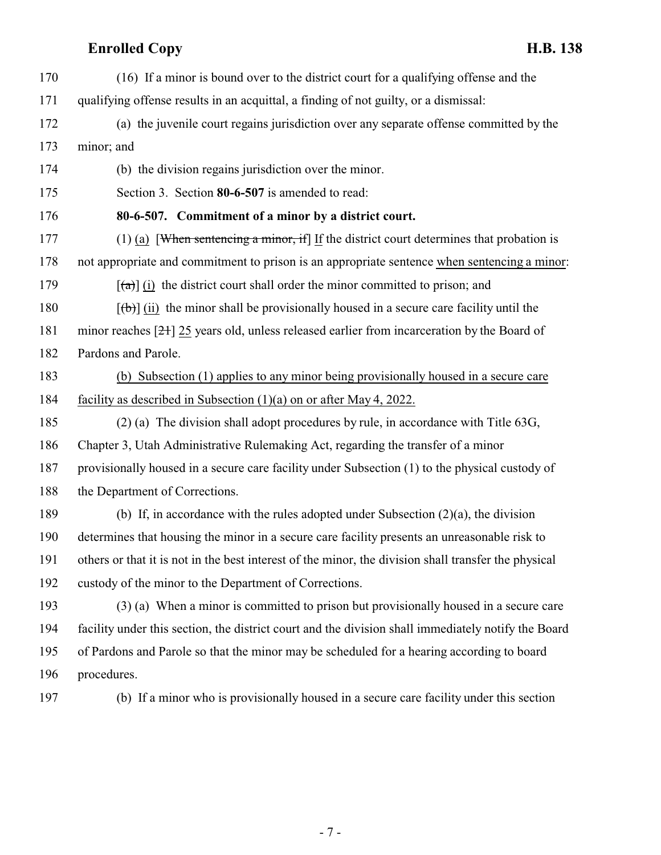- <span id="page-6-0"></span> (16) If a minor is bound over to the district court for a qualifying offense and the qualifying offense results in an acquittal, a finding of not guilty, or a dismissal: (a) the juvenile court regains jurisdiction over any separate offense committed by the minor; and (b) the division regains jurisdiction over the minor. Section 3. Section **80-6-507** is amended to read: **80-6-507. Commitment of a minor by a district court.** (1) (a) [When sentencing a minor, if] If the district court determines that probation is not appropriate and commitment to prison is an appropriate sentence when sentencing a minor: 179  $[(a)]$  (i) the district court shall order the minor committed to prison; and 180  $[(\theta)]$  (ii) the minor shall be provisionally housed in a secure care facility until the minor reaches [21] 25 years old, unless released earlier from incarceration by the Board of Pardons and Parole. (b) Subsection (1) applies to any minor being provisionally housed in a secure care facility as described in Subsection (1)(a) on or after May 4, 2022. (2) (a) The division shall adopt procedures by rule, in accordance with Title 63G, Chapter 3, Utah Administrative Rulemaking Act, regarding the transfer of a minor provisionally housed in a secure care facility under Subsection (1) to the physical custody of 188 the Department of Corrections. (b) If, in accordance with the rules adopted under Subsection (2)(a), the division determines that housing the minor in a secure care facility presents an unreasonable risk to others or that it is not in the best interest of the minor, the division shall transfer the physical custody of the minor to the Department of Corrections. (3) (a) When a minor is committed to prison but provisionally housed in a secure care facility under this section, the district court and the division shall immediately notify the Board of Pardons and Parole so that the minor may be scheduled for a hearing according to board procedures.
	-

(b) If a minor who is provisionally housed in a secure care facility under this section